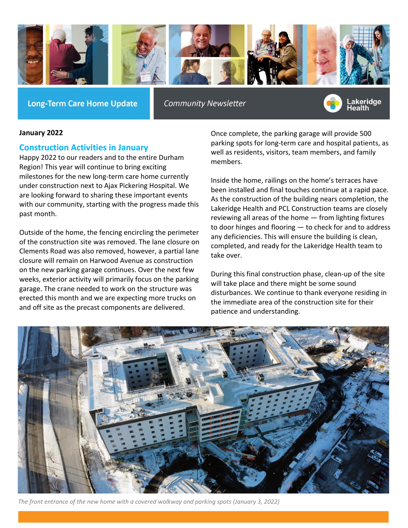

**Long-Term Care Home Update** 

**Community Newsletter** 



#### **January 2022**

### **Construction Activities in January**

Happy 2022 to our readers and to the entire Durham Region! This year will continue to bring exciting milestones for the new long-term care home currently under construction next to Ajax Pickering Hospital. We are looking forward to sharing these important events with our community, starting with the progress made this past month.

Outside of the home, the fencing encircling the perimeter of the construction site was removed. The lane closure on Clements Road was also removed, however, a partial lane closure will remain on Harwood Avenue as construction on the new parking garage continues. Over the next few weeks, exterior activity will primarily focus on the parking garage. The crane needed to work on the structure was erected this month and we are expecting more trucks on and off site as the precast components are delivered.

Once complete, the parking garage will provide 500 parking spots for long-term care and hospital patients, as well as residents, visitors, team members, and family members.

Inside the home, railings on the home's terraces have been installed and final touches continue at a rapid pace. As the construction of the building nears completion, the Lakeridge Health and PCL Construction teams are closely reviewing all areas of the home — from lighting fixtures to door hinges and flooring — to check for and to address any deficiencies. This will ensure the building is clean, completed, and ready for the Lakeridge Health team to take over.

During this final construction phase, clean-up of the site will take place and there might be some sound disturbances. We continue to thank everyone residing in the immediate area of the construction site for their patience and understanding.



*The front entrance of the new home with a covered walkway and parking spots (January 3, 2022)*